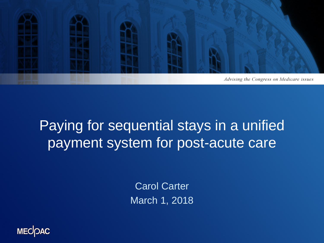

### Paying for sequential stays in a unified payment system for post-acute care

Carol Carter March 1, 2018

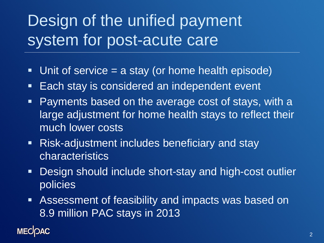# Design of the unified payment system for post-acute care

- Unit of service = a stay (or home health episode)
- **Each stay is considered an independent event**
- **Payments based on the average cost of stays, with a** large adjustment for home health stays to reflect their much lower costs
- **Risk-adjustment includes beneficiary and stay** characteristics
- **Design should include short-stay and high-cost outlier** policies
- Assessment of feasibility and impacts was based on 8.9 million PAC stays in 2013

**MECOAC**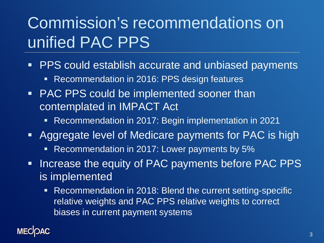# Commission's recommendations on unified PAC PPS

- **PPS could establish accurate and unbiased payments** 
	- **Recommendation in 2016: PPS design features**
- **PAC PPS could be implemented sooner than** contemplated in IMPACT Act
	- Recommendation in 2017: Begin implementation in 2021
- Aggregate level of Medicare payments for PAC is high
	- **Recommendation in 2017: Lower payments by 5%**
- **Increase the equity of PAC payments before PAC PPS** is implemented
	- **Recommendation in 2018: Blend the current setting-specific** relative weights and PAC PPS relative weights to correct biases in current payment systems

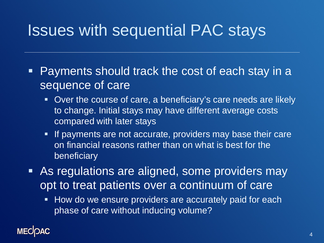## Issues with sequential PAC stays

- Payments should track the cost of each stay in a sequence of care
	- **Over the course of care, a beneficiary's care needs are likely** to change. Initial stays may have different average costs compared with later stays
	- **If payments are not accurate, providers may base their care** on financial reasons rather than on what is best for the beneficiary
- As regulations are aligned, some providers may opt to treat patients over a continuum of care
	- How do we ensure providers are accurately paid for each phase of care without inducing volume?

#### **MECK**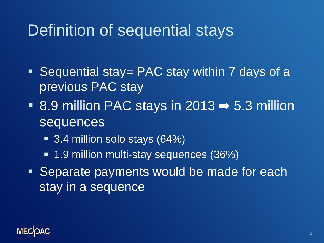## Definition of sequential stays

- Sequential stay= PAC stay within 7 days of a previous PAC stay
- 8.9 million PAC stays in  $2013 \rightarrow 5.3$  million sequences
	- 3.4 million solo stays (64%)
	- 1.9 million multi-stay sequences (36%)
- **Separate payments would be made for each** stay in a sequence

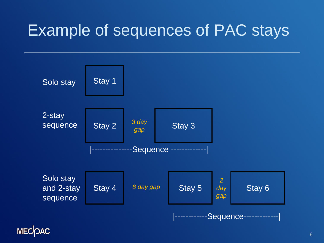### Example of sequences of PAC stays



**MECOAC**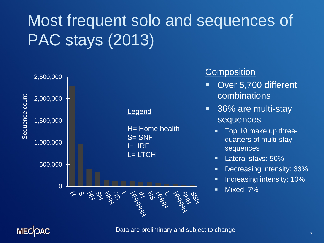# Most frequent solo and sequences of PAC stays (2013)



#### **Composition**

- Over 5,700 different combinations
- 36% are multi-stay sequences
	- **Top 10 make up three**quarters of multi-stay sequences
	- **Lateral stays: 50%**
	- **Decreasing intensity: 33%**
	- **Increasing intensity: 10%**
	- **Mixed: 7%**

#### **MECOAC**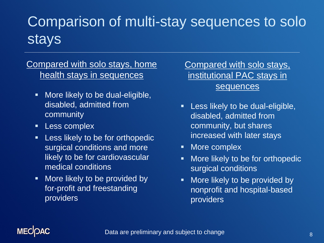## Comparison of multi-stay sequences to solo stays

#### Compared with solo stays, home health stays in sequences

- **More likely to be dual-eligible,** disabled, admitted from community
- **Less complex**
- **EXEC** Less likely to be for orthopedic surgical conditions and more likely to be for cardiovascular medical conditions
- **Nore likely to be provided by** for-profit and freestanding providers

Compared with solo stays, institutional PAC stays in sequences

- Less likely to be dual-eligible, disabled, admitted from community, but shares increased with later stays
- **More complex**
- More likely to be for orthopedic surgical conditions
- **Nore likely to be provided by** nonprofit and hospital-based providers

#### **MECK**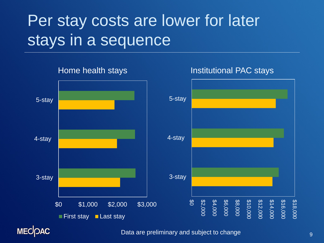## Per stay costs are lower for later stays in a sequence



**MECOAC** 

Data are preliminary and subject to change 9 and 9 and 9 and 9 and 9 and 9 and 9 and 9 and 9 and 9 and 9 and 9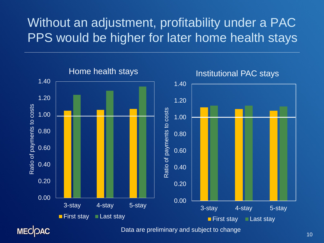#### Without an adjustment, profitability under a PAC PPS would be higher for later home health stays

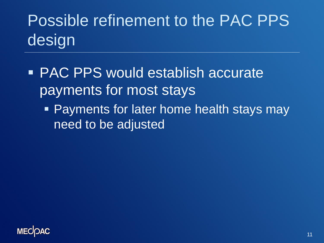# Possible refinement to the PAC PPS design

- PAC PPS would establish accurate payments for most stays
	- **Payments for later home health stays may** need to be adjusted

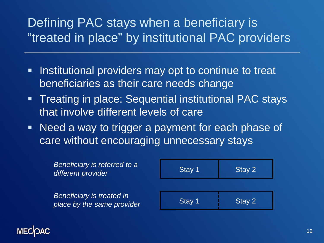### Defining PAC stays when a beneficiary is "treated in place" by institutional PAC providers

- **Institutional providers may opt to continue to treat** beneficiaries as their care needs change
- **Treating in place: Sequential institutional PAC stays** that involve different levels of care
- Need a way to trigger a payment for each phase of care without encouraging unnecessary stays

| Beneficiary is referred to a<br>different provider      | Stay 1 | Stay 2 |
|---------------------------------------------------------|--------|--------|
| Beneficiary is treated in<br>place by the same provider | Stay 1 | Stay 2 |

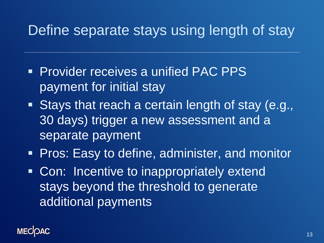### Define separate stays using length of stay

- **Provider receives a unified PAC PPS** payment for initial stay
- Stays that reach a certain length of stay (e.g., 30 days) trigger a new assessment and a separate payment
- **Pros: Easy to define, administer, and monitor**
- **Con: Incentive to inappropriately extend** stays beyond the threshold to generate additional payments

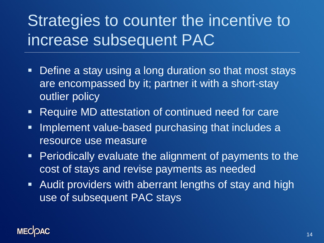# Strategies to counter the incentive to increase subsequent PAC

- **Define a stay using a long duration so that most stays** are encompassed by it; partner it with a short-stay outlier policy
- **Require MD attestation of continued need for care**
- **Implement value-based purchasing that includes a** resource use measure
- **Periodically evaluate the alignment of payments to the** cost of stays and revise payments as needed
- Audit providers with aberrant lengths of stay and high use of subsequent PAC stays